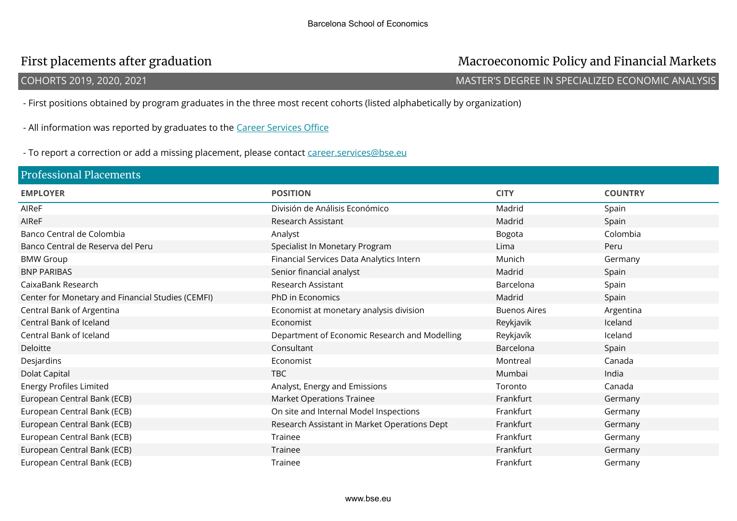## First placements after graduation **Macroeconomic Policy and Financial Markets**

### COHORTS 2019, 2020, 2021 MASTER'S DEGREE IN SPECIALIZED ECONOMIC ANALYSIS

- First positions obtained by program graduates in the three most recent cohorts (listed alphabetically by organization)

- All information was reported by graduates to the Career Services Office

- To report a correction or add a missing placement, please contact career.services@bse.eu

| <b>Professional Placements</b>                    |                                               |                     |                |  |  |
|---------------------------------------------------|-----------------------------------------------|---------------------|----------------|--|--|
| <b>EMPLOYER</b>                                   | <b>POSITION</b>                               | <b>CITY</b>         | <b>COUNTRY</b> |  |  |
| AIReF                                             | División de Análisis Económico                | Madrid              | Spain          |  |  |
| AIReF                                             | Research Assistant                            | Madrid              | Spain          |  |  |
| Banco Central de Colombia                         | Analyst                                       | Bogota              | Colombia       |  |  |
| Banco Central de Reserva del Peru                 | Specialist In Monetary Program                | Lima                | Peru           |  |  |
| <b>BMW Group</b>                                  | Financial Services Data Analytics Intern      | Munich              | Germany        |  |  |
| <b>BNP PARIBAS</b>                                | Senior financial analyst                      | Madrid              | Spain          |  |  |
| CaixaBank Research                                | Research Assistant                            | Barcelona           | Spain          |  |  |
| Center for Monetary and Financial Studies (CEMFI) | PhD in Economics                              | Madrid              | Spain          |  |  |
| Central Bank of Argentina                         | Economist at monetary analysis division       | <b>Buenos Aires</b> | Argentina      |  |  |
| Central Bank of Iceland                           | Economist                                     | Reykjavik           | Iceland        |  |  |
| Central Bank of Iceland                           | Department of Economic Research and Modelling | Reykjavík           | Iceland        |  |  |
| Deloitte                                          | Consultant                                    | Barcelona           | Spain          |  |  |
| Desjardins                                        | Economist                                     | Montreal            | Canada         |  |  |
| Dolat Capital                                     | <b>TBC</b>                                    | Mumbai              | India          |  |  |
| <b>Energy Profiles Limited</b>                    | Analyst, Energy and Emissions                 | Toronto             | Canada         |  |  |
| European Central Bank (ECB)                       | <b>Market Operations Trainee</b>              | Frankfurt           | Germany        |  |  |
| European Central Bank (ECB)                       | On site and Internal Model Inspections        | Frankfurt           | Germany        |  |  |
| European Central Bank (ECB)                       | Research Assistant in Market Operations Dept  | Frankfurt           | Germany        |  |  |
| European Central Bank (ECB)                       | Trainee                                       | Frankfurt           | Germany        |  |  |
| European Central Bank (ECB)                       | Trainee                                       | Frankfurt           | Germany        |  |  |
| European Central Bank (ECB)                       | Trainee                                       | Frankfurt           | Germany        |  |  |